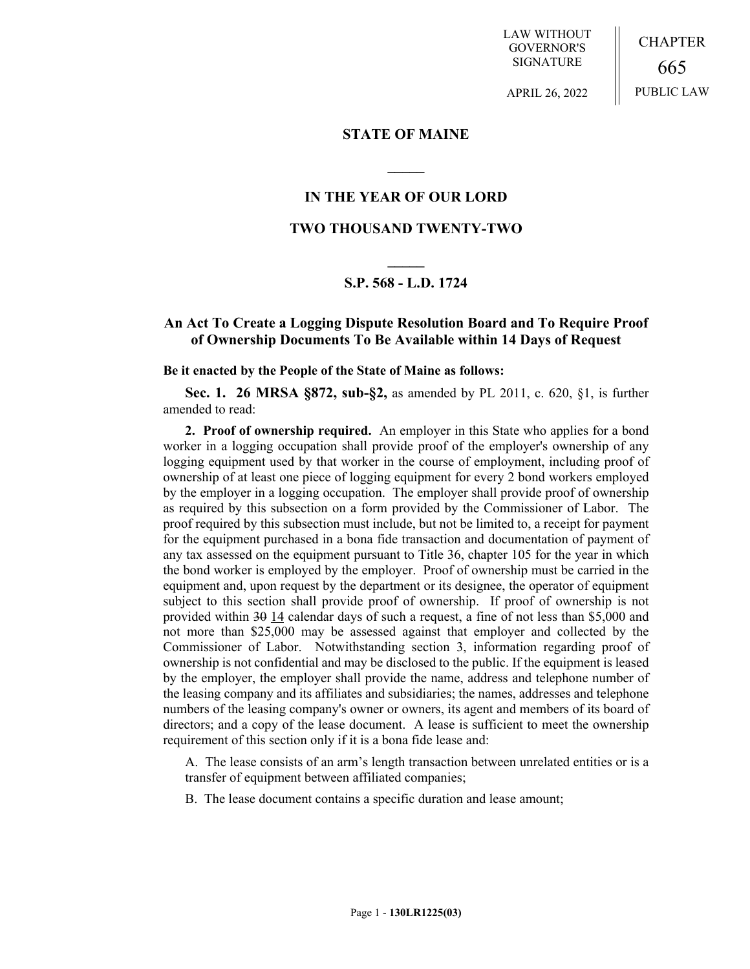LAW WITHOUT GOVERNOR'S SIGNATURE

CHAPTER 665 PUBLIC LAW

APRIL 26, 2022

# **STATE OF MAINE**

**\_\_\_\_\_**

# **IN THE YEAR OF OUR LORD**

# **TWO THOUSAND TWENTY-TWO**

# **\_\_\_\_\_ S.P. 568 - L.D. 1724**

# **An Act To Create a Logging Dispute Resolution Board and To Require Proof of Ownership Documents To Be Available within 14 Days of Request**

#### **Be it enacted by the People of the State of Maine as follows:**

**Sec. 1. 26 MRSA §872, sub-§2,** as amended by PL 2011, c. 620, §1, is further amended to read:

**2. Proof of ownership required.** An employer in this State who applies for a bond worker in a logging occupation shall provide proof of the employer's ownership of any logging equipment used by that worker in the course of employment, including proof of ownership of at least one piece of logging equipment for every 2 bond workers employed by the employer in a logging occupation. The employer shall provide proof of ownership as required by this subsection on a form provided by the Commissioner of Labor. The proof required by this subsection must include, but not be limited to, a receipt for payment for the equipment purchased in a bona fide transaction and documentation of payment of any tax assessed on the equipment pursuant to Title 36, chapter 105 for the year in which the bond worker is employed by the employer. Proof of ownership must be carried in the equipment and, upon request by the department or its designee, the operator of equipment subject to this section shall provide proof of ownership. If proof of ownership is not provided within 30 14 calendar days of such a request, a fine of not less than \$5,000 and not more than \$25,000 may be assessed against that employer and collected by the Commissioner of Labor. Notwithstanding section 3, information regarding proof of ownership is not confidential and may be disclosed to the public. If the equipment is leased by the employer, the employer shall provide the name, address and telephone number of the leasing company and its affiliates and subsidiaries; the names, addresses and telephone numbers of the leasing company's owner or owners, its agent and members of its board of directors; and a copy of the lease document. A lease is sufficient to meet the ownership requirement of this section only if it is a bona fide lease and:

A. The lease consists of an arm's length transaction between unrelated entities or is a transfer of equipment between affiliated companies;

B. The lease document contains a specific duration and lease amount;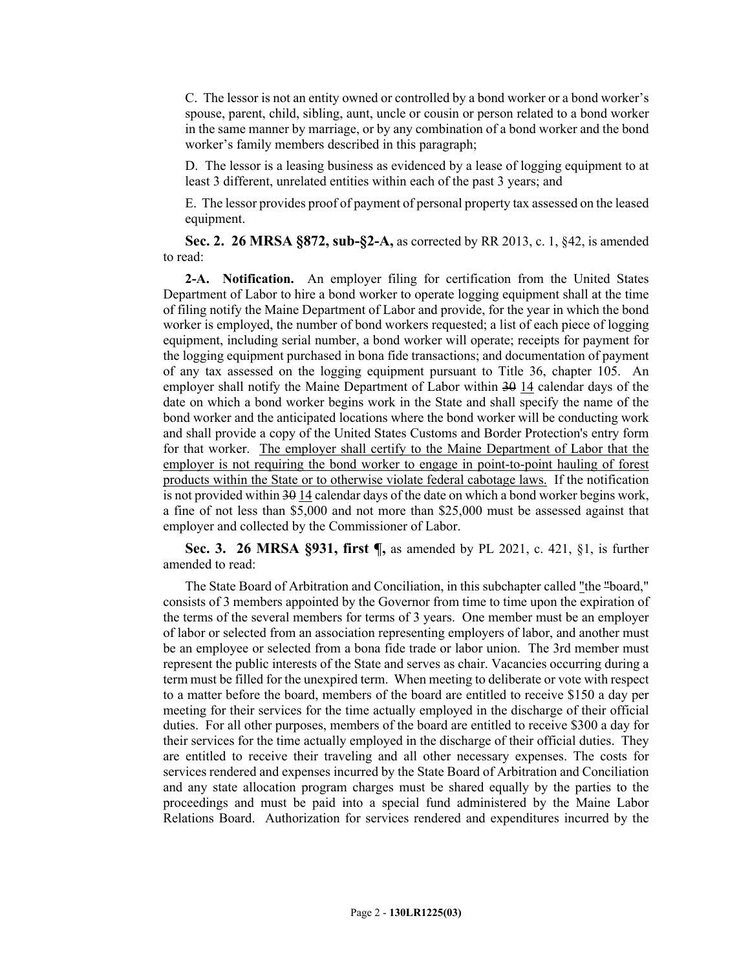C. The lessor is not an entity owned or controlled by a bond worker or a bond worker's spouse, parent, child, sibling, aunt, uncle or cousin or person related to a bond worker in the same manner by marriage, or by any combination of a bond worker and the bond worker's family members described in this paragraph;

D. The lessor is a leasing business as evidenced by a lease of logging equipment to at least 3 different, unrelated entities within each of the past 3 years; and

E. The lessor provides proof of payment of personal property tax assessed on the leased equipment.

**Sec. 2. 26 MRSA §872, sub-§2-A,** as corrected by RR 2013, c. 1, §42, is amended to read:

**2-A. Notification.** An employer filing for certification from the United States Department of Labor to hire a bond worker to operate logging equipment shall at the time of filing notify the Maine Department of Labor and provide, for the year in which the bond worker is employed, the number of bond workers requested; a list of each piece of logging equipment, including serial number, a bond worker will operate; receipts for payment for the logging equipment purchased in bona fide transactions; and documentation of payment of any tax assessed on the logging equipment pursuant to Title 36, chapter 105. An employer shall notify the Maine Department of Labor within 30 14 calendar days of the date on which a bond worker begins work in the State and shall specify the name of the bond worker and the anticipated locations where the bond worker will be conducting work and shall provide a copy of the United States Customs and Border Protection's entry form for that worker. The employer shall certify to the Maine Department of Labor that the employer is not requiring the bond worker to engage in point-to-point hauling of forest products within the State or to otherwise violate federal cabotage laws. If the notification is not provided within 30 14 calendar days of the date on which a bond worker begins work, a fine of not less than \$5,000 and not more than \$25,000 must be assessed against that employer and collected by the Commissioner of Labor.

**Sec. 3. 26 MRSA §931, first ¶,** as amended by PL 2021, c. 421, §1, is further amended to read:

The State Board of Arbitration and Conciliation, in this subchapter called "the "board," consists of 3 members appointed by the Governor from time to time upon the expiration of the terms of the several members for terms of 3 years. One member must be an employer of labor or selected from an association representing employers of labor, and another must be an employee or selected from a bona fide trade or labor union. The 3rd member must represent the public interests of the State and serves as chair. Vacancies occurring during a term must be filled for the unexpired term. When meeting to deliberate or vote with respect to a matter before the board, members of the board are entitled to receive \$150 a day per meeting for their services for the time actually employed in the discharge of their official duties. For all other purposes, members of the board are entitled to receive \$300 a day for their services for the time actually employed in the discharge of their official duties. They are entitled to receive their traveling and all other necessary expenses. The costs for services rendered and expenses incurred by the State Board of Arbitration and Conciliation and any state allocation program charges must be shared equally by the parties to the proceedings and must be paid into a special fund administered by the Maine Labor Relations Board. Authorization for services rendered and expenditures incurred by the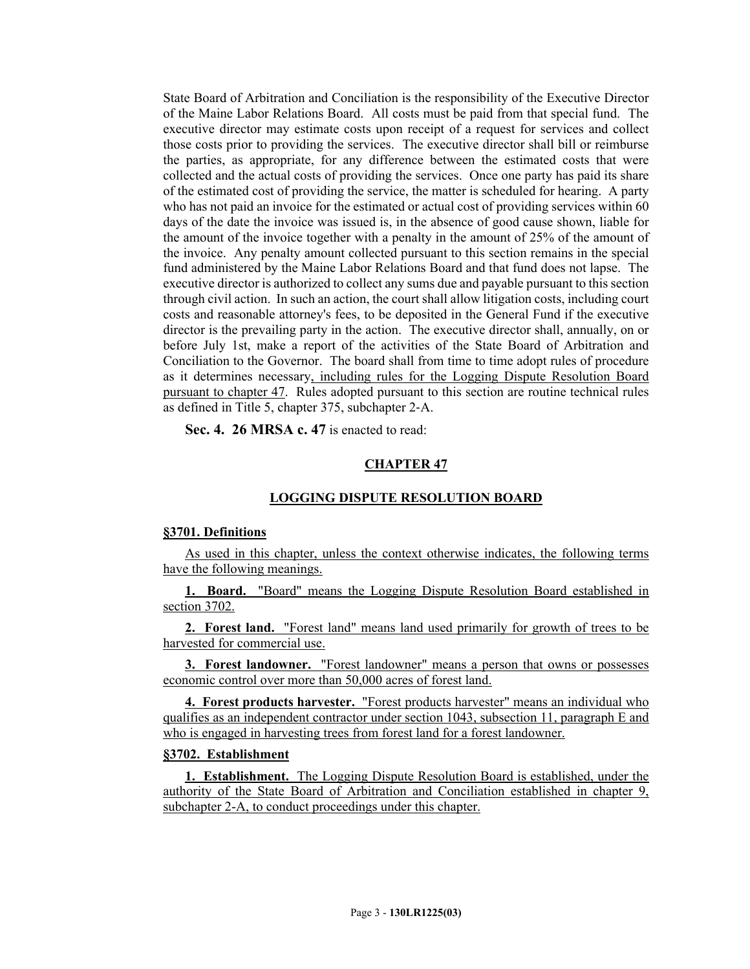State Board of Arbitration and Conciliation is the responsibility of the Executive Director of the Maine Labor Relations Board. All costs must be paid from that special fund. The executive director may estimate costs upon receipt of a request for services and collect those costs prior to providing the services. The executive director shall bill or reimburse the parties, as appropriate, for any difference between the estimated costs that were collected and the actual costs of providing the services. Once one party has paid its share of the estimated cost of providing the service, the matter is scheduled for hearing. A party who has not paid an invoice for the estimated or actual cost of providing services within 60 days of the date the invoice was issued is, in the absence of good cause shown, liable for the amount of the invoice together with a penalty in the amount of 25% of the amount of the invoice. Any penalty amount collected pursuant to this section remains in the special fund administered by the Maine Labor Relations Board and that fund does not lapse. The executive director is authorized to collect any sums due and payable pursuant to this section through civil action. In such an action, the court shall allow litigation costs, including court costs and reasonable attorney's fees, to be deposited in the General Fund if the executive director is the prevailing party in the action. The executive director shall, annually, on or before July 1st, make a report of the activities of the State Board of Arbitration and Conciliation to the Governor. The board shall from time to time adopt rules of procedure as it determines necessary, including rules for the Logging Dispute Resolution Board pursuant to chapter 47. Rules adopted pursuant to this section are routine technical rules as defined in Title 5, chapter 375, subchapter 2‑A.

**Sec. 4. 26 MRSA c. 47** is enacted to read:

## **CHAPTER 47**

## **LOGGING DISPUTE RESOLUTION BOARD**

#### **§3701. Definitions**

As used in this chapter, unless the context otherwise indicates, the following terms have the following meanings.

**1. Board.** "Board" means the Logging Dispute Resolution Board established in section 3702.

**2. Forest land.** "Forest land" means land used primarily for growth of trees to be harvested for commercial use.

**3. Forest landowner.** "Forest landowner" means a person that owns or possesses economic control over more than 50,000 acres of forest land.

**4. Forest products harvester.** "Forest products harvester" means an individual who qualifies as an independent contractor under section 1043, subsection 11, paragraph E and who is engaged in harvesting trees from forest land for a forest landowner.

# **§3702. Establishment**

**1. Establishment.** The Logging Dispute Resolution Board is established, under the authority of the State Board of Arbitration and Conciliation established in chapter 9, subchapter 2-A, to conduct proceedings under this chapter.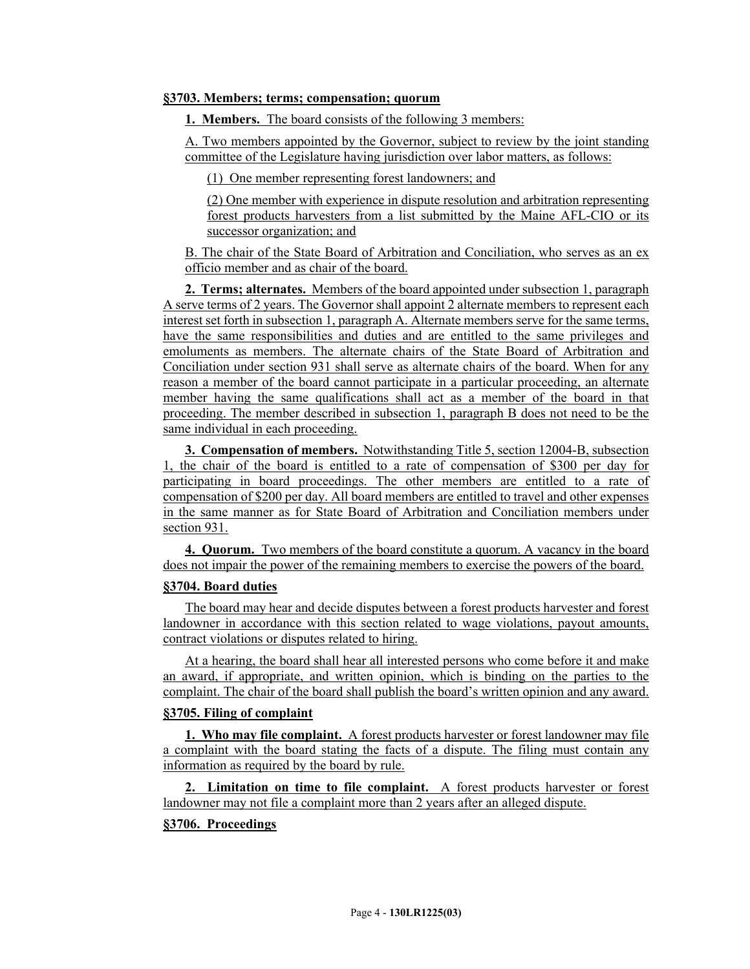# **§3703. Members; terms; compensation; quorum**

**1. Members.** The board consists of the following 3 members:

A. Two members appointed by the Governor, subject to review by the joint standing committee of the Legislature having jurisdiction over labor matters, as follows:

(1) One member representing forest landowners; and

(2) One member with experience in dispute resolution and arbitration representing forest products harvesters from a list submitted by the Maine AFL-CIO or its successor organization; and

B. The chair of the State Board of Arbitration and Conciliation, who serves as an ex officio member and as chair of the board.

**2. Terms; alternates.** Members of the board appointed under subsection 1, paragraph A serve terms of 2 years. The Governor shall appoint 2 alternate members to represent each interest set forth in subsection 1, paragraph A. Alternate members serve for the same terms, have the same responsibilities and duties and are entitled to the same privileges and emoluments as members. The alternate chairs of the State Board of Arbitration and Conciliation under section 931 shall serve as alternate chairs of the board. When for any reason a member of the board cannot participate in a particular proceeding, an alternate member having the same qualifications shall act as a member of the board in that proceeding. The member described in subsection 1, paragraph B does not need to be the same individual in each proceeding.

**3. Compensation of members.** Notwithstanding Title 5, section 12004-B, subsection 1, the chair of the board is entitled to a rate of compensation of \$300 per day for participating in board proceedings. The other members are entitled to a rate of compensation of \$200 per day. All board members are entitled to travel and other expenses in the same manner as for State Board of Arbitration and Conciliation members under section 931.

**4. Quorum.** Two members of the board constitute a quorum. A vacancy in the board does not impair the power of the remaining members to exercise the powers of the board.

## **§3704. Board duties**

The board may hear and decide disputes between a forest products harvester and forest landowner in accordance with this section related to wage violations, payout amounts, contract violations or disputes related to hiring.

At a hearing, the board shall hear all interested persons who come before it and make an award, if appropriate, and written opinion, which is binding on the parties to the complaint. The chair of the board shall publish the board's written opinion and any award.

# **§3705. Filing of complaint**

**1. Who may file complaint.** A forest products harvester or forest landowner may file a complaint with the board stating the facts of a dispute. The filing must contain any information as required by the board by rule.

**2. Limitation on time to file complaint.** A forest products harvester or forest landowner may not file a complaint more than 2 years after an alleged dispute.

# **§3706. Proceedings**